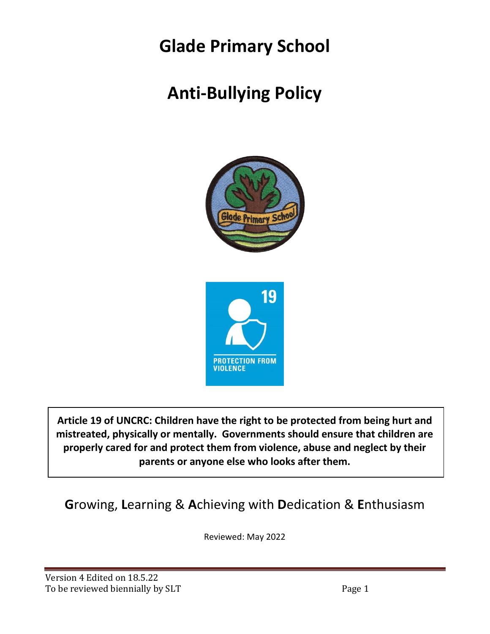# **Glade Primary School**

# **Anti-Bullying Policy**





**Article 19 of UNCRC: Children have the right to be protected from being hurt and mistreated, physically or mentally. Governments should ensure that children are properly cared for and protect them from violence, abuse and neglect by their parents or anyone else who looks after them.**

**G**rowing, **L**earning & **A**chieving with **D**edication & **E**nthusiasm

Reviewed: May 2022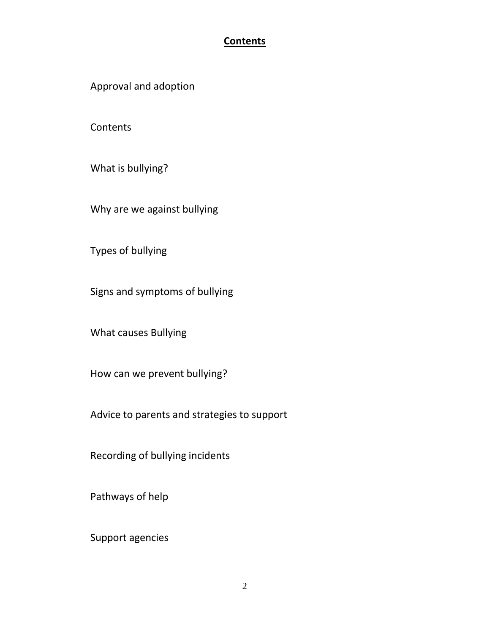#### **Contents**

Approval and adoption

**Contents** 

What is bullying?

Why are we against bullying

Types of bullying

Signs and symptoms of bullying

What causes Bullying

How can we prevent bullying?

Advice to parents and strategies to support

Recording of bullying incidents

Pathways of help

Support agencies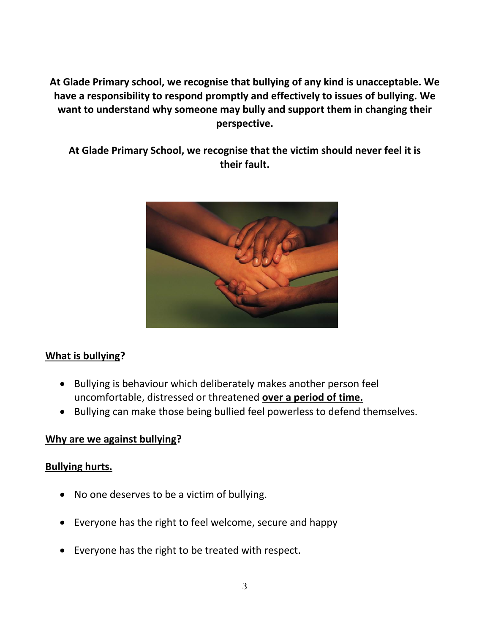**At Glade Primary school, we recognise that bullying of any kind is unacceptable. We have a responsibility to respond promptly and effectively to issues of bullying. We want to understand why someone may bully and support them in changing their perspective.**

**At Glade Primary School, we recognise that the victim should never feel it is their fault.**



# **What is bullying?**

- Bullying is behaviour which deliberately makes another person feel uncomfortable, distressed or threatened **over a period of time.**
- Bullying can make those being bullied feel powerless to defend themselves.

#### **Why are we against bullying?**

#### **Bullying hurts.**

- No one deserves to be a victim of bullying.
- Everyone has the right to feel welcome, secure and happy
- Everyone has the right to be treated with respect.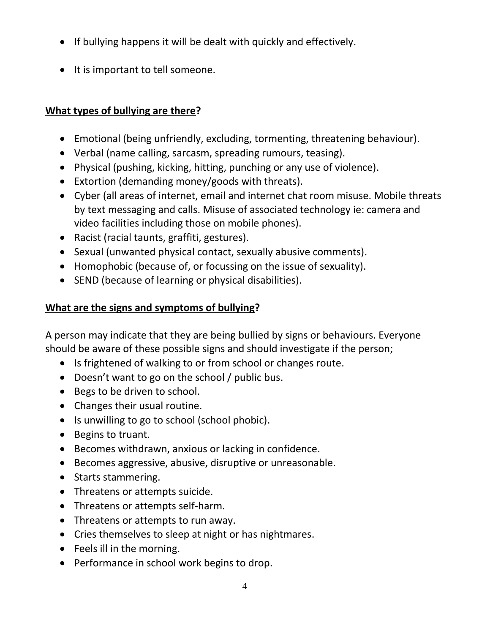- If bullying happens it will be dealt with quickly and effectively.
- It is important to tell someone.

# **What types of bullying are there?**

- Emotional (being unfriendly, excluding, tormenting, threatening behaviour).
- Verbal (name calling, sarcasm, spreading rumours, teasing).
- Physical (pushing, kicking, hitting, punching or any use of violence).
- Extortion (demanding money/goods with threats).
- Cyber (all areas of internet, email and internet chat room misuse. Mobile threats by text messaging and calls. Misuse of associated technology ie: camera and video facilities including those on mobile phones).
- Racist (racial taunts, graffiti, gestures).
- Sexual (unwanted physical contact, sexually abusive comments).
- Homophobic (because of, or focussing on the issue of sexuality).
- SEND (because of learning or physical disabilities).

# **What are the signs and symptoms of bullying?**

A person may indicate that they are being bullied by signs or behaviours. Everyone should be aware of these possible signs and should investigate if the person;

- Is frightened of walking to or from school or changes route.
- Doesn't want to go on the school / public bus.
- Begs to be driven to school.
- Changes their usual routine.
- Is unwilling to go to school (school phobic).
- Begins to truant.
- Becomes withdrawn, anxious or lacking in confidence.
- Becomes aggressive, abusive, disruptive or unreasonable.
- Starts stammering.
- Threatens or attempts suicide.
- Threatens or attempts self-harm.
- Threatens or attempts to run away.
- Cries themselves to sleep at night or has nightmares.
- Feels ill in the morning.
- Performance in school work begins to drop.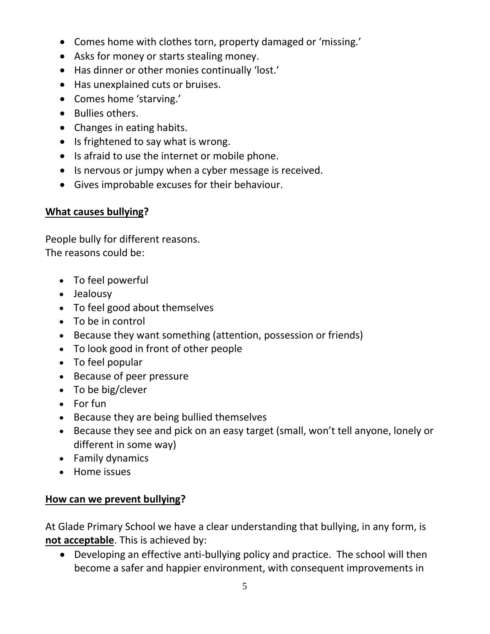- Comes home with clothes torn, property damaged or 'missing.'
- Asks for money or starts stealing money.
- Has dinner or other monies continually 'lost.'
- Has unexplained cuts or bruises.
- Comes home 'starving.'
- Bullies others.
- Changes in eating habits.
- Is frightened to say what is wrong.
- Is afraid to use the internet or mobile phone.
- Is nervous or jumpy when a cyber message is received.
- Gives improbable excuses for their behaviour.

#### **What causes bullying?**

People bully for different reasons. The reasons could be:

- To feel powerful
- Jealousy
- To feel good about themselves
- To be in control
- Because they want something (attention, possession or friends)
- To look good in front of other people
- To feel popular
- Because of peer pressure
- To be big/clever
- For fun
- Because they are being bullied themselves
- Because they see and pick on an easy target (small, won't tell anyone, lonely or different in some way)
- Family dynamics
- Home issues

# **How can we prevent bullying?**

At Glade Primary School we have a clear understanding that bullying, in any form, is **not acceptable**. This is achieved by:

 Developing an effective anti-bullying policy and practice. The school will then become a safer and happier environment, with consequent improvements in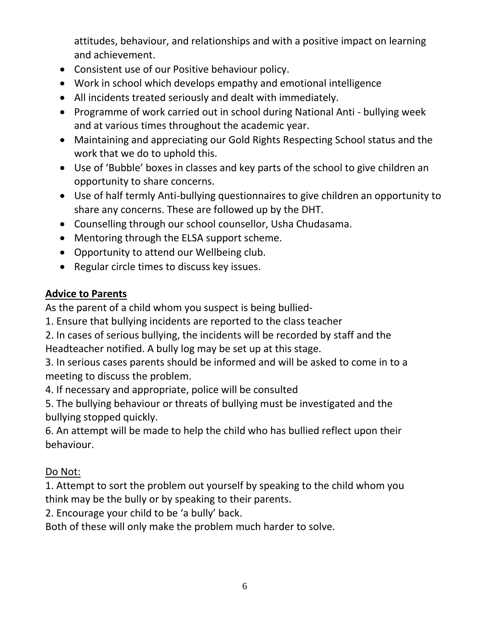attitudes, behaviour, and relationships and with a positive impact on learning and achievement.

- Consistent use of our Positive behaviour policy.
- Work in school which develops empathy and emotional intelligence
- All incidents treated seriously and dealt with immediately.
- Programme of work carried out in school during National Anti bullying week and at various times throughout the academic year.
- Maintaining and appreciating our Gold Rights Respecting School status and the work that we do to uphold this.
- Use of 'Bubble' boxes in classes and key parts of the school to give children an opportunity to share concerns.
- Use of half termly Anti-bullying questionnaires to give children an opportunity to share any concerns. These are followed up by the DHT.
- Counselling through our school counsellor, Usha Chudasama.
- Mentoring through the ELSA support scheme.
- Opportunity to attend our Wellbeing club.
- Regular circle times to discuss key issues.

# **Advice to Parents**

As the parent of a child whom you suspect is being bullied-

1. Ensure that bullying incidents are reported to the class teacher

2. In cases of serious bullying, the incidents will be recorded by staff and the Headteacher notified. A bully log may be set up at this stage.

3. In serious cases parents should be informed and will be asked to come in to a meeting to discuss the problem.

4. If necessary and appropriate, police will be consulted

5. The bullying behaviour or threats of bullying must be investigated and the bullying stopped quickly.

6. An attempt will be made to help the child who has bullied reflect upon their behaviour.

# Do Not:

1. Attempt to sort the problem out yourself by speaking to the child whom you think may be the bully or by speaking to their parents.

2. Encourage your child to be 'a bully' back.

Both of these will only make the problem much harder to solve.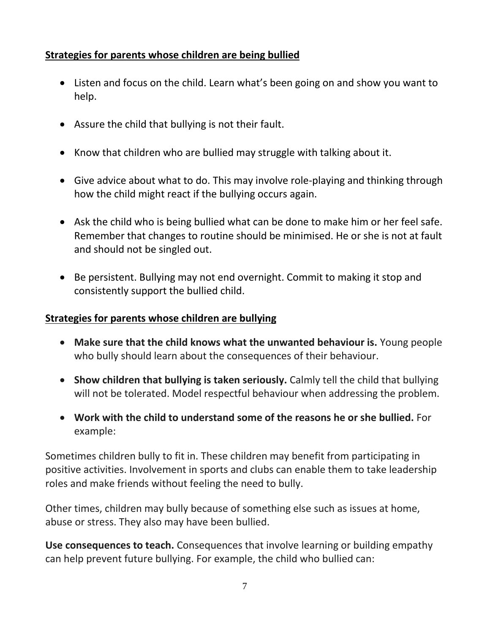# **Strategies for parents whose children are being bullied**

- Listen and focus on the child. Learn what's been going on and show you want to help.
- Assure the child that bullying is not their fault.
- Know that children who are bullied may struggle with talking about it.
- Give advice about what to do. This may involve role-playing and thinking through how the child might react if the bullying occurs again.
- Ask the child who is being bullied what can be done to make him or her feel safe. Remember that changes to routine should be minimised. He or she is not at fault and should not be singled out.
- Be persistent. Bullying may not end overnight. Commit to making it stop and consistently support the bullied child.

#### **Strategies for parents whose children are bullying**

- **Make sure that the child knows what the unwanted behaviour is.** Young people who bully should learn about the consequences of their behaviour.
- **Show children that bullying is taken seriously.** Calmly tell the child that bullying will not be tolerated. Model respectful behaviour when addressing the problem.
- **Work with the child to understand some of the reasons he or she bullied.** For example:

Sometimes children bully to fit in. These children may benefit from participating in positive activities. Involvement in sports and clubs can enable them to take leadership roles and make friends without feeling the need to bully.

Other times, children may bully because of something else such as issues at home, abuse or stress. They also may have been bullied.

**Use consequences to teach.** Consequences that involve learning or building empathy can help prevent future bullying. For example, the child who bullied can: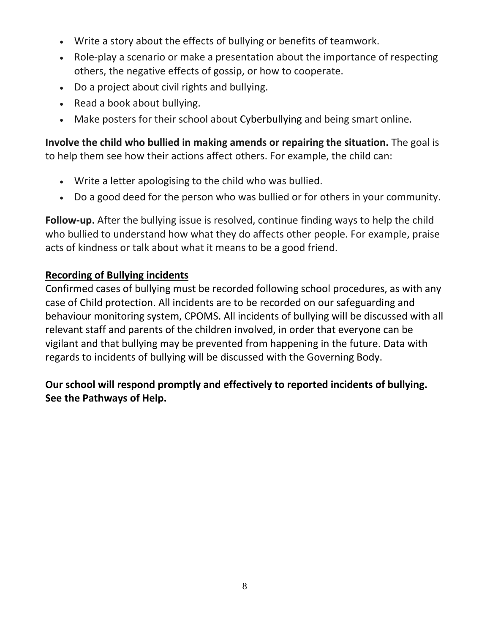- Write a story about the effects of bullying or benefits of teamwork.
- Role-play a scenario or make a presentation about the importance of respecting others, the negative effects of gossip, or how to cooperate.
- Do a project about civil rights and bullying.
- Read a book about bullying.
- Make posters for their school about Cyberbullying and being smart online.

**Involve the child who bullied in making amends or repairing the situation.** The goal is to help them see how their actions affect others. For example, the child can:

- Write a letter apologising to the child who was bullied.
- Do a good deed for the person who was bullied or for others in your community.

**Follow-up.** After the bullying issue is resolved, continue finding ways to help the child who bullied to understand how what they do affects other people. For example, praise acts of kindness or talk about what it means to be a good friend.

# **Recording of Bullying incidents**

Confirmed cases of bullying must be recorded following school procedures, as with any case of Child protection. All incidents are to be recorded on our safeguarding and behaviour monitoring system, CPOMS. All incidents of bullying will be discussed with all relevant staff and parents of the children involved, in order that everyone can be vigilant and that bullying may be prevented from happening in the future. Data with regards to incidents of bullying will be discussed with the Governing Body.

# **Our school will respond promptly and effectively to reported incidents of bullying. See the Pathways of Help.**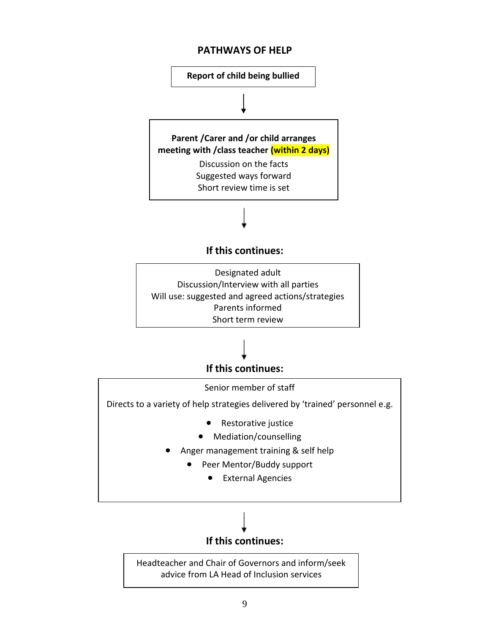#### **PATHWAYS OF HELP**



#### **If this continues:**

Designated adult Discussion/Interview with all parties Will use: suggested and agreed actions/strategies Parents informed Short term review

# **If this continues:**



# **If this continues:**

Headteacher and Chair of Governors and inform/seek advice from LA Head of Inclusion services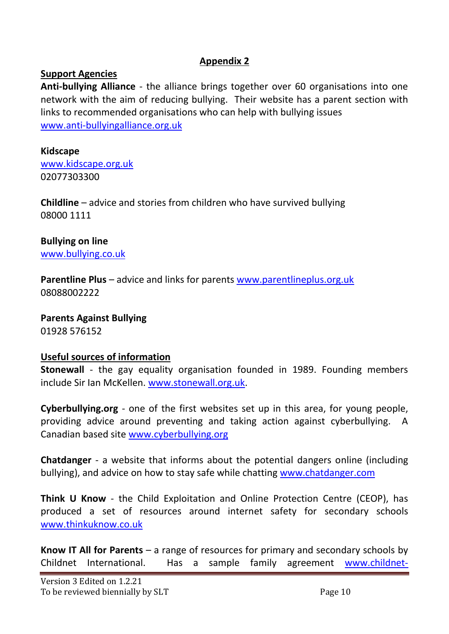# **Appendix 2**

#### **Support Agencies**

**Anti-bullying Alliance** - the alliance brings together over 60 organisations into one network with the aim of reducing bullying. Their website has a parent section with links to recommended organisations who can help with bullying issues [www.anti-bullyingalliance.org.uk](http://www.anti-bullyingalliance.org.uk/)

# **Kidscape**

www.kidscape.org.uk 02077303300

**Childline** – advice and stories from children who have survived bullying 08000 1111

**Bullying on line** [www.bullying.co.uk](http://www.bullying.co.uk/)

**Parentline Plus** – advice and links for parents [www.parentlineplus.org.uk](http://www.parentlineplus.org.uk/) 08088002222

**Parents Against Bullying** 01928 576152

#### **Useful sources of information**

**Stonewall** - the gay equality organisation founded in 1989. Founding members include Sir Ian McKellen. [www.stonewall.org.uk.](http://www.stonewall.org.uk/)

**Cyberbullying.org** - one of the first websites set up in this area, for young people, providing advice around preventing and taking action against cyberbullying. A Canadian based site [www.cyberbullying.org](http://www.cyberbullying.org/)

**Chatdanger** - a website that informs about the potential dangers online (including bullying), and advice on how to stay safe while chatting [www.chatdanger.com](http://www.chatdanger.com/)

**Think U Know** - the Child Exploitation and Online Protection Centre (CEOP), has produced a set of resources around internet safety for secondary schools [www.thinkuknow.co.uk](http://www.thinkuknow.co.uk/)

**Know IT All for Parents** – a range of resources for primary and secondary schools by Childnet International. Has a sample family agreement [www.childnet-](http://www.childnet-int.org/kia/parents)